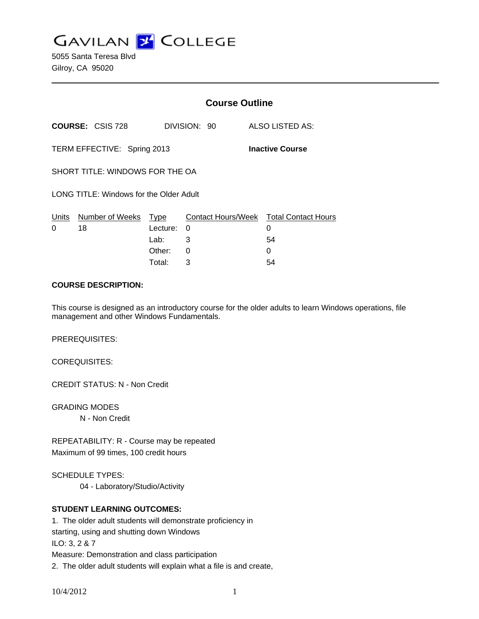**GAVILAN J COLLEGE** 

5055 Santa Teresa Blvd Gilroy, CA 95020

|                                                       |                         | <b>Course Outline</b> |                                        |    |                 |
|-------------------------------------------------------|-------------------------|-----------------------|----------------------------------------|----|-----------------|
|                                                       | <b>COURSE: CSIS 728</b> |                       | DIVISION: 90                           |    | ALSO LISTED AS: |
| TERM EFFECTIVE: Spring 2013<br><b>Inactive Course</b> |                         |                       |                                        |    |                 |
| SHORT TITLE: WINDOWS FOR THE OA                       |                         |                       |                                        |    |                 |
| LONG TITLE: Windows for the Older Adult               |                         |                       |                                        |    |                 |
|                                                       | Units Number of Weeks   | Type                  | Contact Hours/Week Total Contact Hours |    |                 |
| 0                                                     | 18                      | Lecture:              | $\Omega$                               | 0  |                 |
|                                                       |                         | Lab: Lab              | 3                                      | 54 |                 |
|                                                       |                         | Other:                | $\Omega$                               | 0  |                 |
|                                                       |                         | Total:                | 3                                      | 54 |                 |

#### **COURSE DESCRIPTION:**

This course is designed as an introductory course for the older adults to learn Windows operations, file management and other Windows Fundamentals.

PREREQUISITES:

COREQUISITES:

CREDIT STATUS: N - Non Credit

GRADING MODES N - Non Credit

REPEATABILITY: R - Course may be repeated Maximum of 99 times, 100 credit hours

SCHEDULE TYPES:

04 - Laboratory/Studio/Activity

# **STUDENT LEARNING OUTCOMES:**

1. The older adult students will demonstrate proficiency in starting, using and shutting down Windows ILO: 3, 2 & 7 Measure: Demonstration and class participation 2. The older adult students will explain what a file is and create,

10/4/2012 1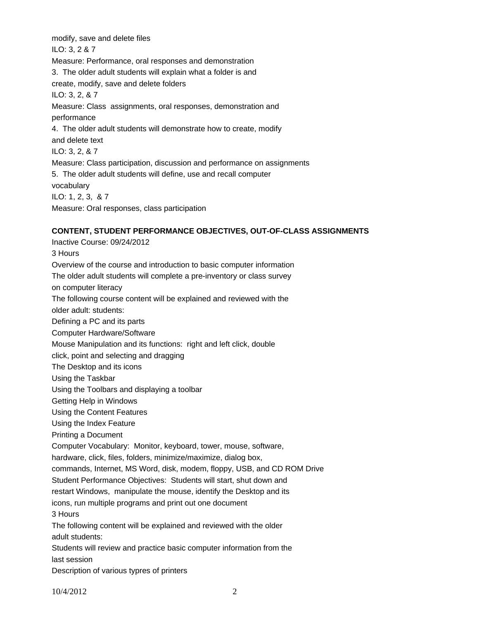modify, save and delete files ILO: 3, 2 & 7 Measure: Performance, oral responses and demonstration 3. The older adult students will explain what a folder is and create, modify, save and delete folders ILO: 3, 2, & 7 Measure: Class assignments, oral responses, demonstration and performance 4. The older adult students will demonstrate how to create, modify and delete text ILO: 3, 2, & 7 Measure: Class participation, discussion and performance on assignments 5. The older adult students will define, use and recall computer vocabulary ILO: 1, 2, 3, & 7 Measure: Oral responses, class participation

# **CONTENT, STUDENT PERFORMANCE OBJECTIVES, OUT-OF-CLASS ASSIGNMENTS**

Inactive Course: 09/24/2012 3 Hours Overview of the course and introduction to basic computer information The older adult students will complete a pre-inventory or class survey on computer literacy The following course content will be explained and reviewed with the older adult: students: Defining a PC and its parts Computer Hardware/Software Mouse Manipulation and its functions: right and left click, double click, point and selecting and dragging The Desktop and its icons Using the Taskbar Using the Toolbars and displaying a toolbar Getting Help in Windows Using the Content Features Using the Index Feature Printing a Document Computer Vocabulary: Monitor, keyboard, tower, mouse, software, hardware, click, files, folders, minimize/maximize, dialog box, commands, Internet, MS Word, disk, modem, floppy, USB, and CD ROM Drive Student Performance Objectives: Students will start, shut down and restart Windows, manipulate the mouse, identify the Desktop and its icons, run multiple programs and print out one document 3 Hours The following content will be explained and reviewed with the older adult students: Students will review and practice basic computer information from the last session Description of various typres of printers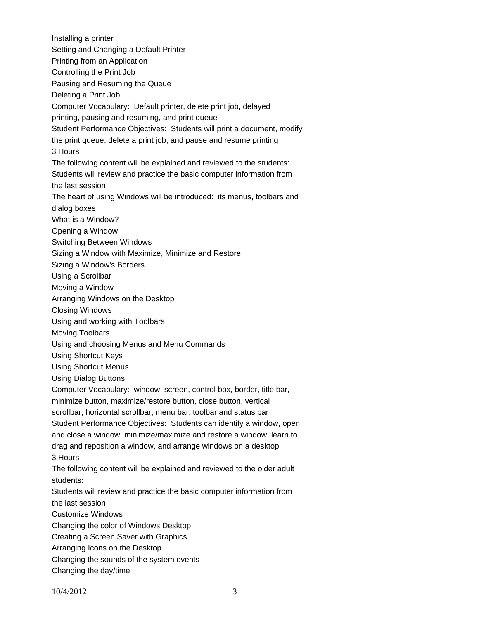Installing a printer Setting and Changing a Default Printer Printing from an Application Controlling the Print Job Pausing and Resuming the Queue Deleting a Print Job Computer Vocabulary: Default printer, delete print job, delayed printing, pausing and resuming, and print queue Student Performance Objectives: Students will print a document, modify the print queue, delete a print job, and pause and resume printing 3 Hours The following content will be explained and reviewed to the students: Students will review and practice the basic computer information from the last session The heart of using Windows will be introduced: its menus, toolbars and dialog boxes What is a Window? Opening a Window Switching Between Windows Sizing a Window with Maximize, Minimize and Restore Sizing a Window's Borders Using a Scrollbar Moving a Window Arranging Windows on the Desktop Closing Windows Using and working with Toolbars Moving Toolbars Using and choosing Menus and Menu Commands Using Shortcut Keys Using Shortcut Menus Using Dialog Buttons Computer Vocabulary: window, screen, control box, border, title bar, minimize button, maximize/restore button, close button, vertical scrollbar, horizontal scrollbar, menu bar, toolbar and status bar Student Performance Objectives: Students can identify a window, open and close a window, minimize/maximize and restore a window, learn to drag and reposition a window, and arrange windows on a desktop 3 Hours The following content will be explained and reviewed to the older adult students: Students will review and practice the basic computer information from the last session Customize Windows Changing the color of Windows Desktop Creating a Screen Saver with Graphics Arranging Icons on the Desktop Changing the sounds of the system events Changing the day/time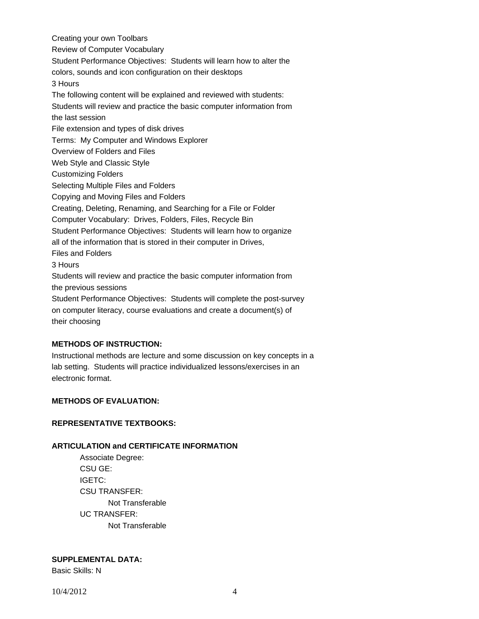Creating your own Toolbars Review of Computer Vocabulary Student Performance Objectives: Students will learn how to alter the colors, sounds and icon configuration on their desktops 3 Hours The following content will be explained and reviewed with students: Students will review and practice the basic computer information from the last session File extension and types of disk drives Terms: My Computer and Windows Explorer Overview of Folders and Files Web Style and Classic Style Customizing Folders Selecting Multiple Files and Folders Copying and Moving Files and Folders Creating, Deleting, Renaming, and Searching for a File or Folder Computer Vocabulary: Drives, Folders, Files, Recycle Bin Student Performance Objectives: Students will learn how to organize all of the information that is stored in their computer in Drives, Files and Folders 3 Hours Students will review and practice the basic computer information from the previous sessions Student Performance Objectives: Students will complete the post-survey on computer literacy, course evaluations and create a document(s) of their choosing

# **METHODS OF INSTRUCTION:**

Instructional methods are lecture and some discussion on key concepts in a lab setting. Students will practice individualized lessons/exercises in an electronic format.

# **METHODS OF EVALUATION:**

# **REPRESENTATIVE TEXTBOOKS:**

# **ARTICULATION and CERTIFICATE INFORMATION**

 Not Transferable UC TRANSFER: Not Transferable Associate Degree: CSU GE: IGETC: CSU TRANSFER:

# **SUPPLEMENTAL DATA:**

Basic Skills: N